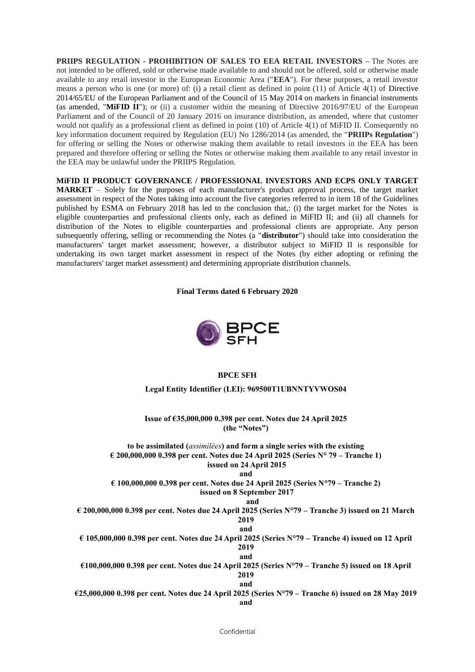**PRIIPS REGULATION - PROHIBITION OF SALES TO EEA RETAIL INVESTORS –** The Notes are not intended to be offered, sold or otherwise made available to and should not be offered, sold or otherwise made available to any retail investor in the European Economic Area ("**EEA**"). For these purposes, a retail investor means a person who is one (or more) of: (i) a retail client as defined in point (11) of Article 4(1) of Directive 2014/65/EU of the European Parliament and of the Council of 15 May 2014 on markets in financial instruments (as amended, "**MiFID II**"); or (ii) a customer within the meaning of Directive 2016/97/EU of the European Parliament and of the Council of 20 January 2016 on insurance distribution, as amended, where that customer would not qualify as a professional client as defined in point (10) of Article 4(1) of MiFID II. Consequently no key information document required by Regulation (EU) No 1286/2014 (as amended, the "**PRIIPs Regulation**") for offering or selling the Notes or otherwise making them available to retail investors in the EEA has been prepared and therefore offering or selling the Notes or otherwise making them available to any retail investor in the EEA may be unlawful under the PRIIPS Regulation.

**MiFID II PRODUCT GOVERNANCE / PROFESSIONAL INVESTORS AND ECPS ONLY TARGET MARKET** – Solely for the purposes of each manufacturer's product approval process, the target market assessment in respect of the Notes taking into account the five categories referred to in item 18 of the Guidelines published by ESMA on February 2018 has led to the conclusion that,: (i) the target market for the Notes is eligible counterparties and professional clients only, each as defined in MiFID II; and (ii) all channels for distribution of the Notes to eligible counterparties and professional clients are appropriate. Any person subsequently offering, selling or recommending the Notes (a "**distributor**") should take into consideration the manufacturers' target market assessment; however, a distributor subject to MiFID II is responsible for undertaking its own target market assessment in respect of the Notes (by either adopting or refining the manufacturers' target market assessment) and determining appropriate distribution channels.

**Final Terms dated 6 February 2020**



### **BPCE SFH**

**Legal Entity Identifier (LEI): 969500T1UBNNTYVWOS04**

**Issue of €35,000,000 0.398 per cent. Notes due 24 April 2025 (the "Notes")**

**to be assimilated (***assimilées***) and form a single series with the existing € 200,000,000 0.398 per cent. Notes due 24 April 2025 (Series N° 79 – Tranche 1) issued on 24 April 2015** 

**and** 

**€ 100,000,000 0.398 per cent. Notes due 24 April 2025 (Series N°79 – Tranche 2) issued on 8 September 2017**

#### **and**

**€ 200,000,000 0.398 per cent. Notes due 24 April 2025 (Series N°79 – Tranche 3) issued on 21 March 2019 and**

**€ 105,000,000 0.398 per cent. Notes due 24 April 2025 (Series N°79 – Tranche 4) issued on 12 April 2019**

**and €100,000,000 0.398 per cent. Notes due 24 April 2025 (Series N°79 – Tranche 5) issued on 18 April 2019**

**and**

**€25,000,000 0.398 per cent. Notes due 24 April 2025 (Series N°79 – Tranche 6) issued on 28 May 2019 and**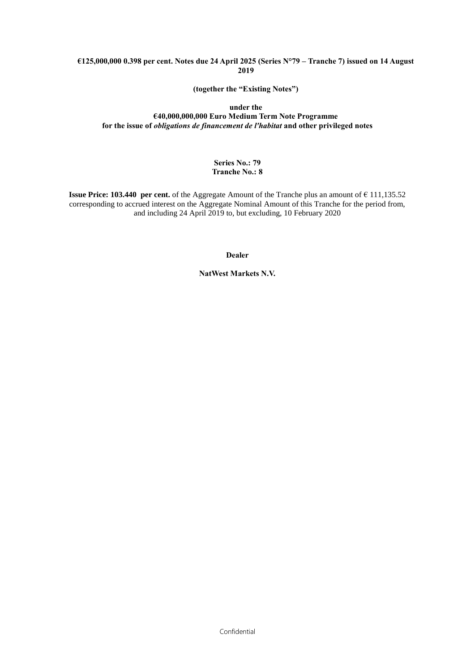#### **€125,000,000 0.398 per cent. Notes due 24 April 2025 (Series N°79 – Tranche 7) issued on 14 August 2019**

**(together the "Existing Notes")**

#### **under the €40,000,000,000 Euro Medium Term Note Programme for the issue of** *obligations de financement de l'habitat* **and other privileged notes**

# **Series No.: 79 Tranche No.: 8**

**Issue Price: 103.440 per cent.** of the Aggregate Amount of the Tranche plus an amount of € 111,135.52 corresponding to accrued interest on the Aggregate Nominal Amount of this Tranche for the period from, and including 24 April 2019 to, but excluding, 10 February 2020

**Dealer**

**NatWest Markets N.V.**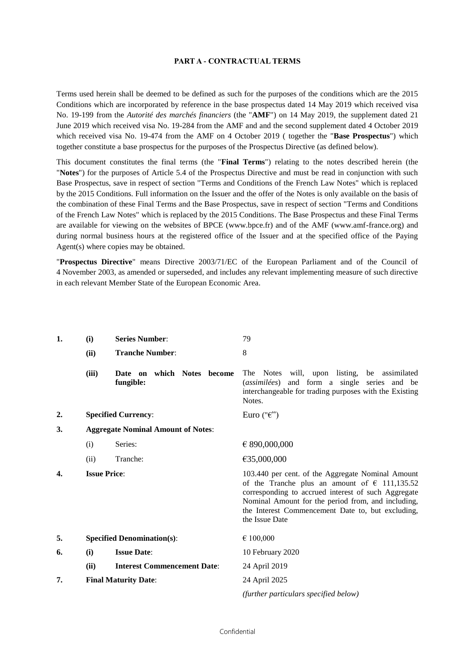#### **PART A - CONTRACTUAL TERMS**

Terms used herein shall be deemed to be defined as such for the purposes of the conditions which are the 2015 Conditions which are incorporated by reference in the base prospectus dated 14 May 2019 which received visa No. 19-199 from the *Autorité des marchés financiers* (the "**AMF**") on 14 May 2019, the supplement dated 21 June 2019 which received visa No. 19-284 from the AMF and and the second supplement dated 4 October 2019 which received visa No. 19-474 from the AMF on 4 October 2019 ( together the "**Base Prospectus**") which together constitute a base prospectus for the purposes of the Prospectus Directive (as defined below).

This document constitutes the final terms (the "**Final Terms**") relating to the notes described herein (the "**Notes**") for the purposes of Article 5.4 of the Prospectus Directive and must be read in conjunction with such Base Prospectus, save in respect of section "Terms and Conditions of the French Law Notes" which is replaced by the 2015 Conditions. Full information on the Issuer and the offer of the Notes is only available on the basis of the combination of these Final Terms and the Base Prospectus, save in respect of section "Terms and Conditions of the French Law Notes" which is replaced by the 2015 Conditions. The Base Prospectus and these Final Terms are available for viewing on the websites of BPCE (www.bpce.fr) and of the AMF (www.amf-france.org) and during normal business hours at the registered office of the Issuer and at the specified office of the Paying Agent(s) where copies may be obtained.

"**Prospectus Directive**" means Directive 2003/71/EC of the European Parliament and of the Council of 4 November 2003, as amended or superseded, and includes any relevant implementing measure of such directive in each relevant Member State of the European Economic Area.

| 1. | (i)                                       | <b>Series Number:</b>                      | 79                                                                                                                                                                                                                                                                                              |
|----|-------------------------------------------|--------------------------------------------|-------------------------------------------------------------------------------------------------------------------------------------------------------------------------------------------------------------------------------------------------------------------------------------------------|
|    | (ii)                                      | <b>Tranche Number:</b>                     | 8                                                                                                                                                                                                                                                                                               |
|    | (iii)                                     | on which Notes become<br>Date<br>fungible: | The Notes will, upon listing, be assimilated<br>and form a single series and be<br>(assimilées)<br>interchangeable for trading purposes with the Existing<br>Notes.                                                                                                                             |
| 2. |                                           | <b>Specified Currency:</b>                 | Euro (" $\epsilon$ ")                                                                                                                                                                                                                                                                           |
| 3. | <b>Aggregate Nominal Amount of Notes:</b> |                                            |                                                                                                                                                                                                                                                                                                 |
|    | (i)                                       | Series:                                    | € 890,000,000                                                                                                                                                                                                                                                                                   |
|    | (ii)                                      | Tranche:                                   | €35,000,000                                                                                                                                                                                                                                                                                     |
| 4. | <b>Issue Price:</b>                       |                                            | 103.440 per cent. of the Aggregate Nominal Amount<br>of the Tranche plus an amount of $\epsilon$ 111,135.52<br>corresponding to accrued interest of such Aggregate<br>Nominal Amount for the period from, and including,<br>the Interest Commencement Date to, but excluding,<br>the Issue Date |
| 5. |                                           | <b>Specified Denomination(s):</b>          | € 100,000                                                                                                                                                                                                                                                                                       |
| 6. | (i)                                       | <b>Issue Date:</b>                         | 10 February 2020                                                                                                                                                                                                                                                                                |
|    | (ii)                                      | <b>Interest Commencement Date:</b>         | 24 April 2019                                                                                                                                                                                                                                                                                   |
| 7. |                                           | <b>Final Maturity Date:</b>                | 24 April 2025                                                                                                                                                                                                                                                                                   |
|    |                                           |                                            | (further particulars specified below)                                                                                                                                                                                                                                                           |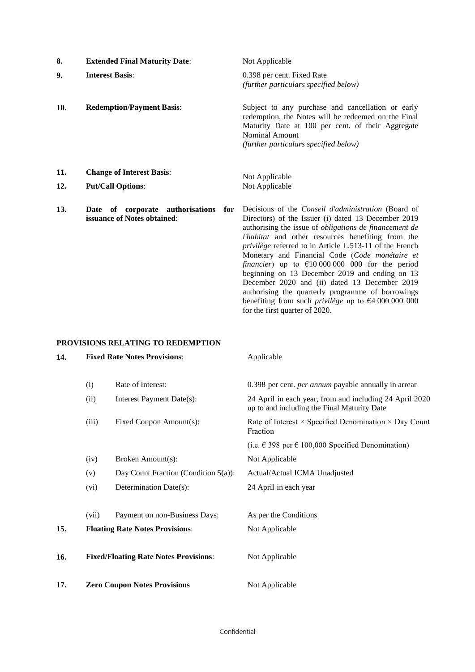| 8.         | <b>Extended Final Maturity Date:</b>                                      | Not Applicable                                                                                                                                                                                                                                                                                                                                                                                                                                                                                                                                                                                                                                                                      |
|------------|---------------------------------------------------------------------------|-------------------------------------------------------------------------------------------------------------------------------------------------------------------------------------------------------------------------------------------------------------------------------------------------------------------------------------------------------------------------------------------------------------------------------------------------------------------------------------------------------------------------------------------------------------------------------------------------------------------------------------------------------------------------------------|
| 9.         | <b>Interest Basis:</b>                                                    | 0.398 per cent. Fixed Rate<br>(further particulars specified below)                                                                                                                                                                                                                                                                                                                                                                                                                                                                                                                                                                                                                 |
| 10.        | <b>Redemption/Payment Basis:</b>                                          | Subject to any purchase and cancellation or early<br>redemption, the Notes will be redeemed on the Final<br>Maturity Date at 100 per cent. of their Aggregate<br><b>Nominal Amount</b><br>(further particulars specified below)                                                                                                                                                                                                                                                                                                                                                                                                                                                     |
| 11.<br>12. | <b>Change of Interest Basis:</b><br><b>Put/Call Options:</b>              | Not Applicable<br>Not Applicable                                                                                                                                                                                                                                                                                                                                                                                                                                                                                                                                                                                                                                                    |
| 13.        | of corporate authorisations<br>for<br>Date<br>issuance of Notes obtained: | Decisions of the <i>Conseil d'administration</i> (Board of<br>Directors) of the Issuer (i) dated 13 December 2019<br>authorising the issue of <i>obligations de financement de</i><br>l'habitat and other resources benefiting from the<br>privilège referred to in Article L.513-11 of the French<br>Monetary and Financial Code (Code monétaire et<br>financier) up to $\epsilon$ 10 000 000 000 for the period<br>beginning on 13 December 2019 and ending on 13<br>December 2020 and (ii) dated 13 December 2019<br>authorising the quarterly programme of borrowings<br>benefiting from such <i>privilege</i> up to $\epsilon$ 4 000 000 000<br>for the first quarter of 2020. |

# **PROVISIONS RELATING TO REDEMPTION**

| 14. | <b>Fixed Rate Notes Provisions:</b>          |                                         | Applicable                                                                                             |  |
|-----|----------------------------------------------|-----------------------------------------|--------------------------------------------------------------------------------------------------------|--|
|     | (i)                                          | Rate of Interest:                       | 0.398 per cent. <i>per annum</i> payable annually in arrear                                            |  |
|     | (ii)                                         | Interest Payment Date(s):               | 24 April in each year, from and including 24 April 2020<br>up to and including the Final Maturity Date |  |
|     | (iii)                                        | Fixed Coupon Amount(s):                 | Rate of Interest $\times$ Specified Denomination $\times$ Day Count<br>Fraction                        |  |
|     |                                              |                                         | (i.e. € 398 per € 100,000 Specified Denomination)                                                      |  |
|     | (iv)                                         | Broken Amount(s):                       | Not Applicable                                                                                         |  |
|     | (v)                                          | Day Count Fraction (Condition $5(a)$ ): | Actual/Actual ICMA Unadjusted                                                                          |  |
|     | (vi)                                         | Determination Date(s):                  | 24 April in each year                                                                                  |  |
|     | (vii)                                        | Payment on non-Business Days:           | As per the Conditions                                                                                  |  |
| 15. |                                              | <b>Floating Rate Notes Provisions:</b>  | Not Applicable                                                                                         |  |
| 16. | <b>Fixed/Floating Rate Notes Provisions:</b> |                                         | Not Applicable                                                                                         |  |
| 17. | <b>Zero Coupon Notes Provisions</b>          |                                         | Not Applicable                                                                                         |  |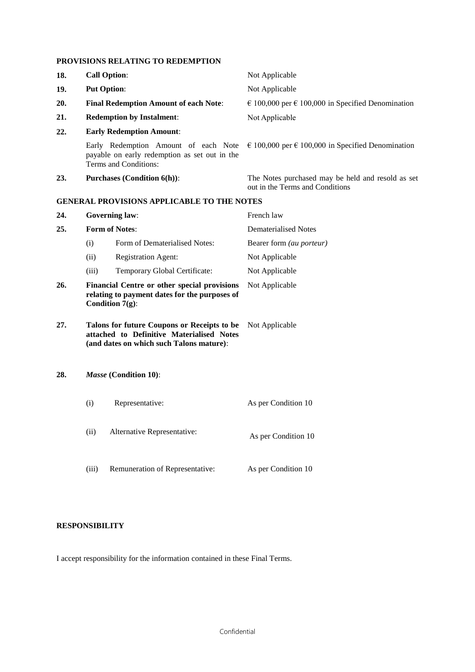# **PROVISIONS RELATING TO REDEMPTION**

| 18. | <b>Call Option:</b>                                                                                                                  |                                                                                                                     | Not Applicable                                                                       |  |
|-----|--------------------------------------------------------------------------------------------------------------------------------------|---------------------------------------------------------------------------------------------------------------------|--------------------------------------------------------------------------------------|--|
| 19. |                                                                                                                                      | <b>Put Option:</b>                                                                                                  | Not Applicable                                                                       |  |
| 20. |                                                                                                                                      | <b>Final Redemption Amount of each Note:</b>                                                                        | $\epsilon$ 100,000 per $\epsilon$ 100,000 in Specified Denomination                  |  |
| 21. |                                                                                                                                      | <b>Redemption by Instalment:</b>                                                                                    | Not Applicable                                                                       |  |
| 22. |                                                                                                                                      | <b>Early Redemption Amount:</b>                                                                                     |                                                                                      |  |
|     |                                                                                                                                      | Early Redemption Amount of each Note<br>payable on early redemption as set out in the<br>Terms and Conditions:      | $\epsilon$ 100,000 per $\epsilon$ 100,000 in Specified Denomination                  |  |
| 23. |                                                                                                                                      | <b>Purchases (Condition 6(h)):</b>                                                                                  | The Notes purchased may be held and resold as set<br>out in the Terms and Conditions |  |
|     |                                                                                                                                      | <b>GENERAL PROVISIONS APPLICABLE TO THE NOTES</b>                                                                   |                                                                                      |  |
| 24. |                                                                                                                                      | <b>Governing law:</b>                                                                                               | French law                                                                           |  |
| 25. | <b>Form of Notes:</b>                                                                                                                |                                                                                                                     | <b>Dematerialised Notes</b>                                                          |  |
|     | (i)                                                                                                                                  | Form of Dematerialised Notes:                                                                                       | Bearer form (au porteur)                                                             |  |
|     | (ii)                                                                                                                                 | <b>Registration Agent:</b>                                                                                          | Not Applicable                                                                       |  |
|     | (iii)                                                                                                                                | Temporary Global Certificate:                                                                                       | Not Applicable                                                                       |  |
| 26. |                                                                                                                                      | Financial Centre or other special provisions<br>relating to payment dates for the purposes of<br>Condition $7(g)$ : | Not Applicable                                                                       |  |
| 27. | Talons for future Coupons or Receipts to be<br>attached to Definitive Materialised Notes<br>(and dates on which such Talons mature): |                                                                                                                     | Not Applicable                                                                       |  |
| 28. | Masse (Condition 10):                                                                                                                |                                                                                                                     |                                                                                      |  |
|     | (i)                                                                                                                                  | Representative:                                                                                                     | As per Condition 10                                                                  |  |
|     | (ii)                                                                                                                                 | Alternative Representative:                                                                                         | As per Condition 10                                                                  |  |
|     | (iii)                                                                                                                                | Remuneration of Representative:                                                                                     | As per Condition 10                                                                  |  |

# **RESPONSIBILITY**

I accept responsibility for the information contained in these Final Terms.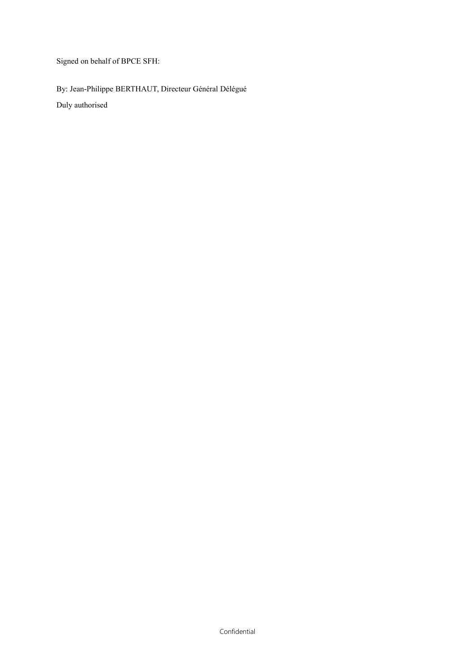Signed on behalf of BPCE SFH:

By: Jean-Philippe BERTHAUT, Directeur Général Délégué Duly authorised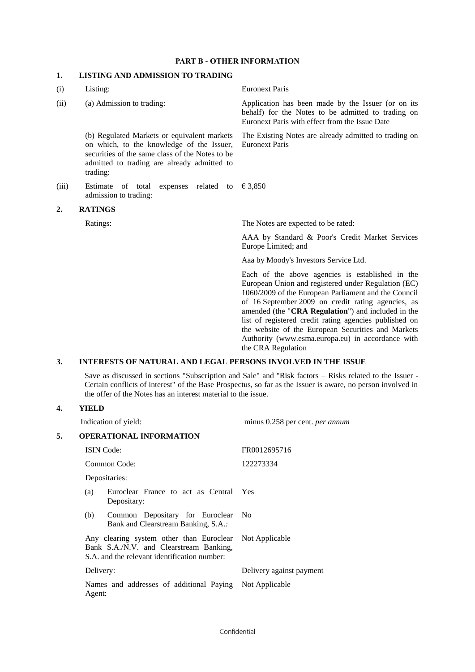### **PART B - OTHER INFORMATION**

# **1. LISTING AND ADMISSION TO TRADING**

| (i)   | Listing:                                                                                                                                                                                               | <b>Euronext Paris</b>                                                                                                                                                                                                                                                                                                                                                                                                                                                  |
|-------|--------------------------------------------------------------------------------------------------------------------------------------------------------------------------------------------------------|------------------------------------------------------------------------------------------------------------------------------------------------------------------------------------------------------------------------------------------------------------------------------------------------------------------------------------------------------------------------------------------------------------------------------------------------------------------------|
| (ii)  | (a) Admission to trading:                                                                                                                                                                              | Application has been made by the Issuer (or on its<br>behalf) for the Notes to be admitted to trading on<br>Euronext Paris with effect from the Issue Date                                                                                                                                                                                                                                                                                                             |
|       | (b) Regulated Markets or equivalent markets<br>on which, to the knowledge of the Issuer,<br>securities of the same class of the Notes to be<br>admitted to trading are already admitted to<br>trading: | The Existing Notes are already admitted to trading on<br><b>Euronext Paris</b>                                                                                                                                                                                                                                                                                                                                                                                         |
| (iii) | expenses related to<br>Estimate<br>of total<br>admission to trading:                                                                                                                                   | € 3,850                                                                                                                                                                                                                                                                                                                                                                                                                                                                |
| 2.    | <b>RATINGS</b>                                                                                                                                                                                         |                                                                                                                                                                                                                                                                                                                                                                                                                                                                        |
|       | Ratings:                                                                                                                                                                                               | The Notes are expected to be rated:                                                                                                                                                                                                                                                                                                                                                                                                                                    |
|       |                                                                                                                                                                                                        | AAA by Standard & Poor's Credit Market Services<br>Europe Limited; and                                                                                                                                                                                                                                                                                                                                                                                                 |
|       |                                                                                                                                                                                                        | Aaa by Moody's Investors Service Ltd.                                                                                                                                                                                                                                                                                                                                                                                                                                  |
|       |                                                                                                                                                                                                        | Each of the above agencies is established in the<br>European Union and registered under Regulation (EC)<br>1060/2009 of the European Parliament and the Council<br>of 16 September 2009 on credit rating agencies, as<br>amended (the "CRA Regulation") and included in the<br>list of registered credit rating agencies published on<br>the website of the European Securities and Markets<br>Authority (www.esma.europa.eu) in accordance with<br>the CRA Regulation |

### **3. INTERESTS OF NATURAL AND LEGAL PERSONS INVOLVED IN THE ISSUE**

Save as discussed in sections "Subscription and Sale" and "Risk factors – Risks related to the Issuer - Certain conflicts of interest" of the Base Prospectus, so far as the Issuer is aware, no person involved in the offer of the Notes has an interest material to the issue.

# **4. YIELD**

|    |           | Indication of yield:                                                                                                                               | minus 0.258 per cent. per annum |  |
|----|-----------|----------------------------------------------------------------------------------------------------------------------------------------------------|---------------------------------|--|
| 5. |           | <b>OPERATIONAL INFORMATION</b>                                                                                                                     |                                 |  |
|    |           | <b>ISIN</b> Code:                                                                                                                                  | FR0012695716                    |  |
|    |           | Common Code:                                                                                                                                       | 122273334                       |  |
|    |           | Depositaries:                                                                                                                                      |                                 |  |
|    | (a)       | Euroclear France to act as Central Yes<br>Depositary:                                                                                              |                                 |  |
|    | (b)       | Common Depositary for Euroclear No<br>Bank and Clearstream Banking, S.A.:                                                                          |                                 |  |
|    |           | Any clearing system other than Euroclear Not Applicable<br>Bank S.A./N.V. and Clearstream Banking,<br>S.A. and the relevant identification number: |                                 |  |
|    | Delivery: |                                                                                                                                                    | Delivery against payment        |  |
|    | Agent:    | Names and addresses of additional Paying Not Applicable                                                                                            |                                 |  |